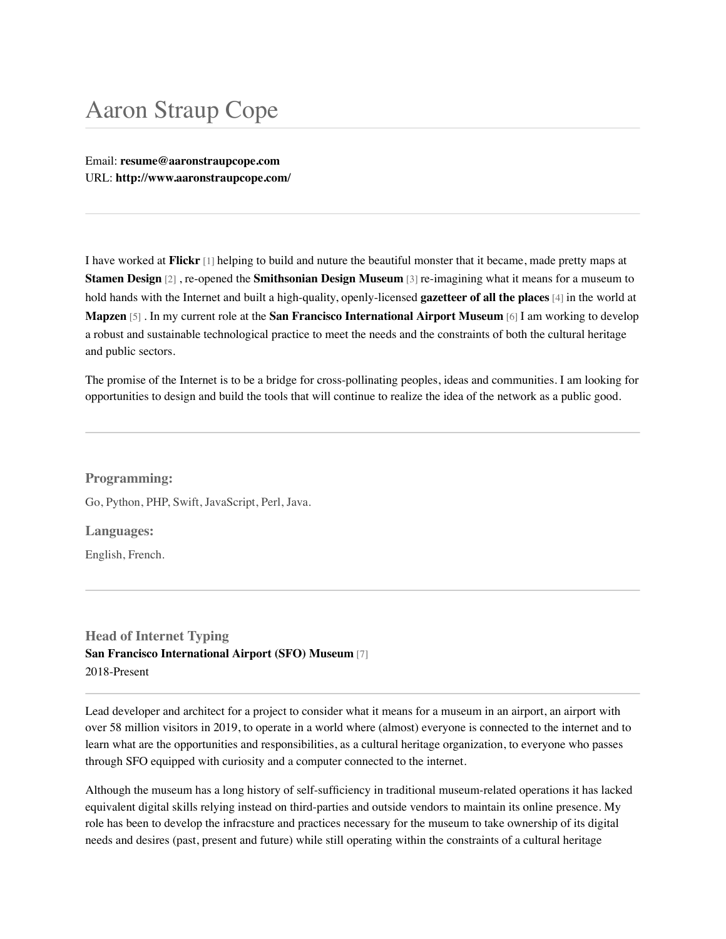# Aaron Straup Cope

Email: **[resume@aaronstraupcope.com](mailto:resume@aaronstraupcope.com)** URL: **<http://www.aaronstraupcope.com/>**

I have worked at **[Flickr](https://www.flickr.com/)** [1] helping to build and nuture the beautiful monster that it became, made pretty maps at **[Stamen Design](http://www.stamen.com/)** [2] , re-opened the **[Smithsonian Design Museum](https://www.cooperhewitt.org/)** [3] re-imagining what it means for a museum to hold hands with the Internet and built a high-quality, openly-licensed **[gazetteer of all the places](https://www.whosonfirst.org/)** [4] in the world at **[Mapzen](https://www.mapzen.com/)** [5] . In my current role at the **[San Francisco International Airport Museum](http://sfomuseum.org/)** [6] I am working to develop a robust and sustainable technological practice to meet the needs and the constraints of both the cultural heritage and public sectors.

The promise of the Internet is to be a bridge for cross-pollinating peoples, ideas and communities. I am looking for opportunities to design and build the tools that will continue to realize the idea of the network as a public good.

## **Programming:**

Go, Python, PHP, Swift, JavaScript, Perl, Java.

**Languages:**

English, French.

**Head of Internet Typing [San Francisco International Airport \(SFO\) Museum](https://sfomuseum.org/)** [7] 2018-Present

Lead developer and architect for a project to consider what it means for a museum in an airport, an airport with over 58 million visitors in 2019, to operate in a world where (almost) everyone is connected to the internet and to learn what are the opportunities and responsibilities, as a cultural heritage organization, to everyone who passes through SFO equipped with curiosity and a computer connected to the internet.

Although the museum has a long history of self-sufficiency in traditional museum-related operations it has lacked equivalent digital skills relying instead on third-parties and outside vendors to maintain its online presence. My role has been to develop the infracsture and practices necessary for the museum to take ownership of its digital needs and desires (past, present and future) while still operating within the constraints of a cultural heritage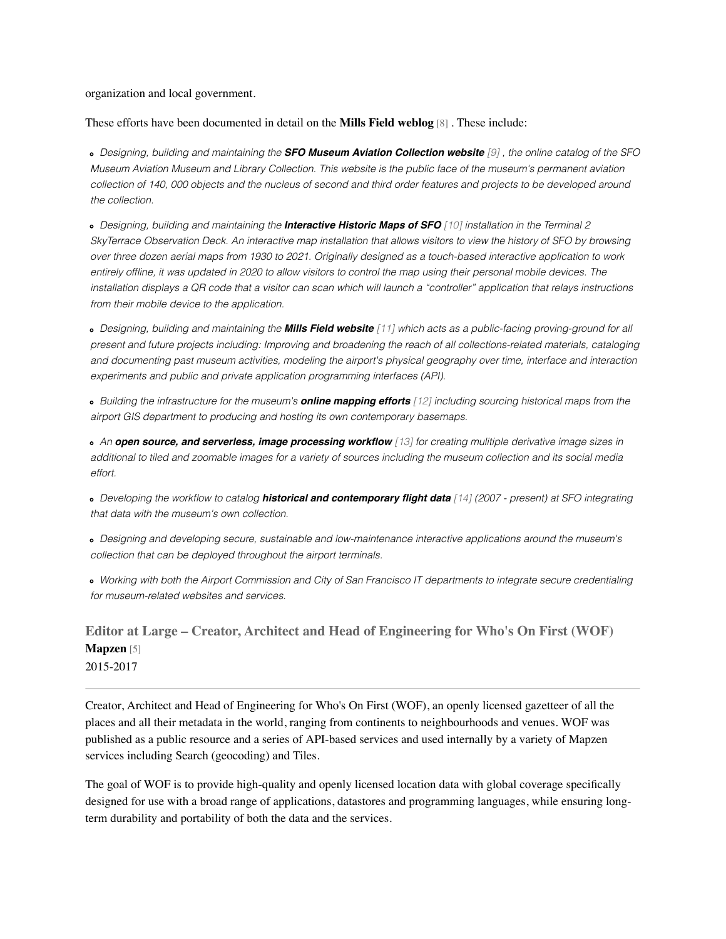## organization and local government.

These efforts have been documented in detail on the **[Mills Field weblog](https://millsfield.sfomuseum.org/blog/)** [8] . These include:

*Designing, building and maintaining the [SFO Museum Aviation Collection website](https://collection.sfomuseum.org/) [9] , the online catalog of the SFO Museum Aviation Museum and Library Collection. This website is the public face of the museum's permanent aviation collection of 140, 000 objects and the nucleus of second and third order features and projects to be developed around the collection.*

*Designing, building and maintaining the [Interactive Historic Maps of SFO](https://www.sfomuseum.org/about/blog/interactive-historic-maps-sfo-1930-2021) [10] installation in the Terminal 2 SkyTerrace Observation Deck. An interactive map installation that allows visitors to view the history of SFO by browsing over three dozen aerial maps from 1930 to 2021. Originally designed as a touch-based interactive application to work entirely offline, it was updated in 2020 to allow visitors to control the map using their personal mobile devices. The installation displays a QR code that a visitor can scan which will launch a "controller" application that relays instructions from their mobile device to the application.*

*Designing, building and maintaining the [Mills Field website](https://millsfield.sfomuseum.org/) [11] which acts as a public-facing proving-ground for all present and future projects including: Improving and broadening the reach of all collections-related materials, cataloging and documenting past museum activities, modeling the airport's physical geography over time, interface and interaction experiments and public and private application programming interfaces (API).*

*Building the infrastructure for the museum's [online mapping efforts](https://millsfield.org/map) [12] including sourcing historical maps from the airport GIS department to producing and hosting its own contemporary basemaps.*

*An [open source, and serverless, image processing workflow](https://millsfield.sfomuseum.org/blog/tags/iiif) [13] for creating mulitiple derivative image sizes in additional to tiled and zoomable images for a variety of sources including the museum collection and its social media effort.*

*Developing the workflow to catalog [historical and contemporary flight data](https://millsfield.sfomuseum.org/blog/tags/flightdata) [14] (2007 - present) at SFO integrating that data with the museum's own collection.*

*Designing and developing secure, sustainable and low-maintenance interactive applications around the museum's collection that can be deployed throughout the airport terminals.*

*Working with both the Airport Commission and City of San Francisco IT departments to integrate secure credentialing for museum-related websites and services.*

## **Editor at Large – Creator, Architect and Head of Engineering for Who's On First (WOF) [Mapzen](https://www.mapzen.com/)** [5] 2015-2017

Creator, Architect and Head of Engineering for Who's On First (WOF), an openly licensed gazetteer of all the places and all their metadata in the world, ranging from continents to neighbourhoods and venues. WOF was published as a public resource and a series of API-based services and used internally by a variety of Mapzen services including Search (geocoding) and Tiles.

The goal of WOF is to provide high-quality and openly licensed location data with global coverage specifically designed for use with a broad range of applications, datastores and programming languages, while ensuring longterm durability and portability of both the data and the services.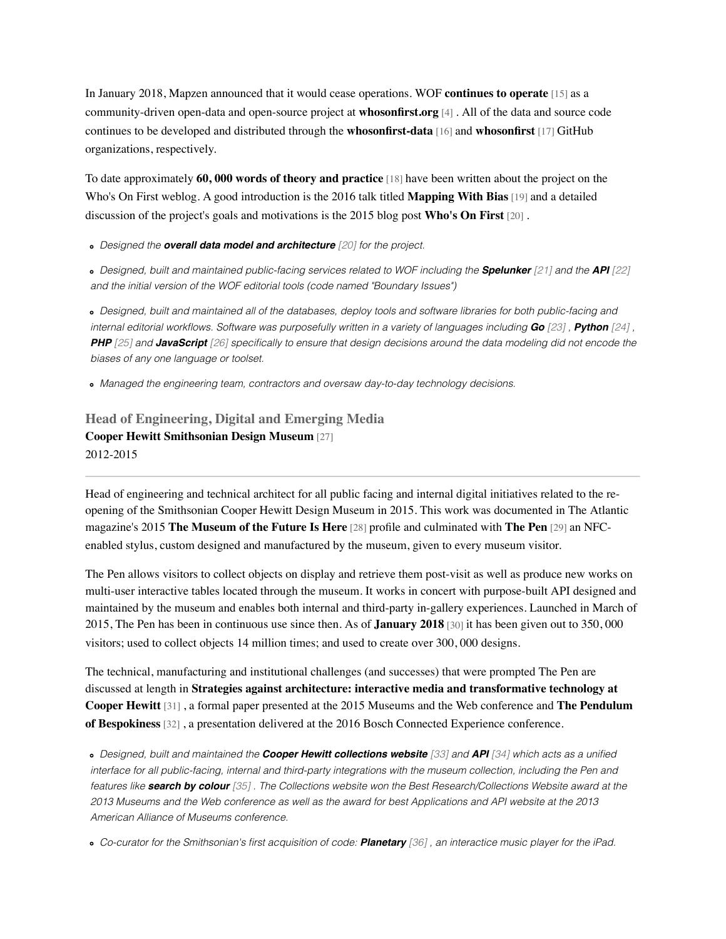In January 2018, Mapzen announced that it would cease operations. WOF **[continues to operate](https://www.whosonfirst.org/blog/2018/01/02/chapter-two/)** [15] as a community-driven open-data and open-source project at **[whosonfirst.org](https://www.whosonfirst.org/)** [4] . All of the data and source code continues to be developed and distributed through the **[whosonfirst-data](https://github.com/whosonfirst-data)** [16] and **[whosonfirst](https://github.com/whosonfirst)** [17] GitHub organizations, respectively.

To date approximately **[60, 000 words of theory and practice](https://www.whosonfirst.org/blog/)** [18] have been written about the project on the Who's On First weblog. A good introduction is the 2016 talk titled **[Mapping With Bias](https://www.whosonfirst.org/blog/2016/08/15/mapping-with-bias/)** [19] and a detailed discussion of the project's goals and motivations is the 2015 blog post **[Who's On First](https://www.whosonfirst.org/blog/2015/08/18/who-s-on-first/)** [20] .

*Designed the [overall data model and architecture](https://www.whosonfirst.org/blog/2015/08/18/who-s-on-first/) [20] for the project.*

*Designed, built and maintained public-facing services related to WOF including the [Spelunker](https://www.whosonfirst.org/blog/2015/09/28/spelunker-jumping-into-who-s-on-first/) [21] and the [API](https://www.whosonfirst.org/2017/04/04/whosonfirst-api/) [22] and the initial version of the WOF editorial tools (code named "Boundary Issues")*

*Designed, built and maintained all of the databases, deploy tools and software libraries for both public-facing and internal editorial workflows. Software was purposefully written in a variety of languages including [Go](https://github.com/whosonfirst?language=go) [23] , [Python](https://github.com/whosonfirst?language=python) [24] , [PHP](https://github.com/whosonfirst?language=php) [25] and [JavaScript](https://github.com/whosonfirst?language=javascript) [26] specifically to ensure that design decisions around the data modeling did not encode the biases of any one language or toolset.*

*Managed the engineering team, contractors and oversaw day-to-day technology decisions.*

## **Head of Engineering, Digital and Emerging Media [Cooper Hewitt Smithsonian Design Museum](http://www.cooperhewitt.org/)** [27] 2012-2015

Head of engineering and technical architect for all public facing and internal digital initiatives related to the reopening of the Smithsonian Cooper Hewitt Design Museum in 2015. This work was documented in The Atlantic magazine's 2015 **[The Museum of the Future Is Here](https://www.theatlantic.com/technology/archive/2015/01/how-to-build-the-museum-of-the-future/384646/)** [28] profile and culminated with **[The Pen](https://collection.cooperhewitt.org/pen/)** [29] an NFCenabled stylus, custom designed and manufactured by the museum, given to every museum visitor.

The Pen allows visitors to collect objects on display and retrieve them post-visit as well as produce new works on multi-user interactive tables located through the museum. It works in concert with purpose-built API designed and maintained by the museum and enables both internal and third-party in-gallery experiences. Launched in March of 2015, The Pen has been in continuous use since then. As of **[January 2018](https://collection.cooperhewitt.org/stats/)** [30] it has been given out to 350, 000 visitors; used to collect objects 14 million times; and used to create over 300, 000 designs.

The technical, manufacturing and institutional challenges (and successes) that were prompted The Pen are discussed at length in **[Strategies against architecture: interactive media and transformative technology at](http://www.aaronland.info/weblog/2015/04/10/things/#mw2015) Cooper Hewitt** [\[31\] , a formal paper presented at the 2015 Museums and the Web conference and](http://www.aaronland.info/weblog/2016/03/09/osha/#bespokiness) **The Pendulum of Bespokiness** [32] , a presentation delivered at the 2016 Bosch Connected Experience conference.

*Designed, built and maintained the [Cooper Hewitt collections website](https://collection.cooperhewitt.org./) [33] and [API](https://labs.cooperhewitt.org/2014/the-api-at-the-center-of-the-museum/) [34] which acts as a unified interface for all public-facing, internal and third-party integrations with the museum collection, including the Pen and features like [search by colour](http://labs.cooperhewitt.org/2013/giv-do/) [35] . The Collections website won the Best Research/Collections Website award at the 2013 Museums and the Web conference as well as the award for best Applications and API website at the 2013 American Alliance of Museums conference.*

*Co-curator for the Smithsonian's first acquisition of code: [Planetary](http://www.cooperhewitt.org/object-of-the-day/2013/08/26/planetary-collecting-and-preserving-code-living-object) [36] , an interactice music player for the iPad.*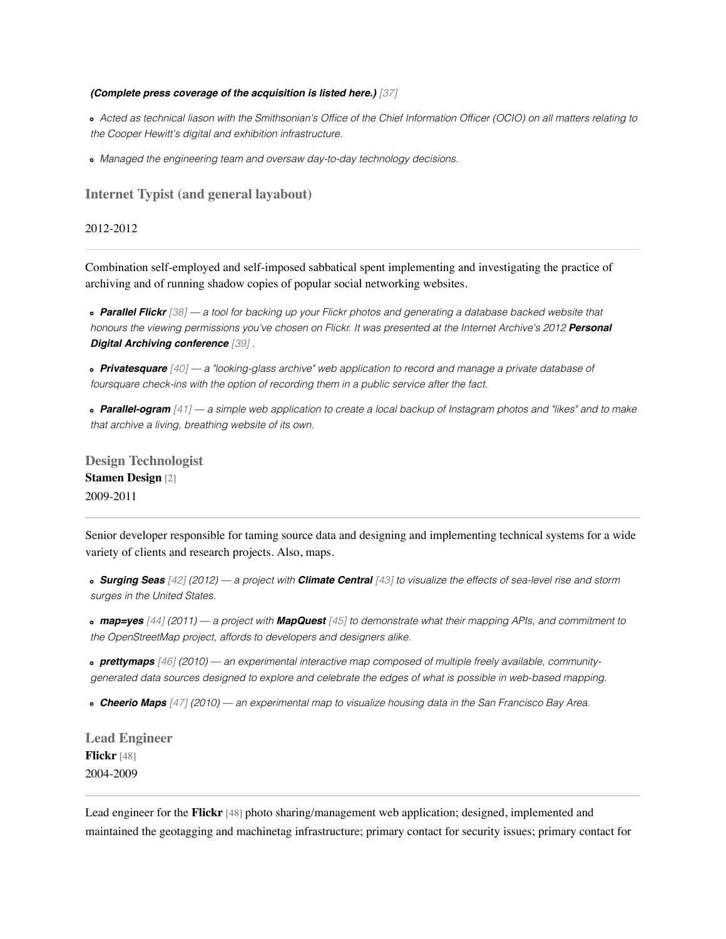#### *[\(Complete press coverage of the acquisition is listed here.\)](http://labs.cooperhewitt.org/2013/pandas-press-planetary/) [37]*

*Acted as technical liason with the Smithsonian's Office of the Chief Information Officer (OCIO) on all matters relating to the Cooper Hewitt's digital and exhibition infrastructure.*

*Managed the engineering team and oversaw day-to-day technology decisions.*

**Internet Typist (and general layabout)**

### 2012-2012

Combination self-employed and self-imposed sabbatical spent implementing and investigating the practice of archiving and of running shadow copies of popular social networking websites.

*[Parallel Flickr](http://www.aaronland.info/weblog/2011/10/14/pixelspace/#parallel-flickr) [38] — a tool for backing up your Flickr photos and generating a database backed website that [honours the viewing permissions you've chosen on Flickr. It was presented at the Internet Archive's 2012](http://www.aaronland.info/weblog/2012/02/14/incentivize/#pda2012) Personal Digital Archiving conference [39] .*

*[Privatesquare](http://nearfuturelaboratory.com/2012/01/22/privatesquare/) [40] — a "looking-glass archive" web application to record and manage a private database of foursquare check-ins with the option of recording them in a public service after the fact.*

*[Parallel-ogram](http://www.aaronland.info/weblog/2012/04/02/haystack/#parallel-ogram) [41] — a simple web application to create a local backup of Instagram photos and "likes" and to make that archive a living, breathing website of its own.*

**Design Technologist [Stamen Design](http://www.stamen.com/)** [2] 2009-2011

Senior developer responsible for taming source data and designing and implementing technical systems for a wide variety of clients and research projects. Also, maps.

*[Surging Seas](http://sealevel.climatecentral.org/) [42] (2012) — a project with [Climate Central](http://www.climatecentral.org/) [43] to visualize the effects of sea-level rise and storm surges in the United States.*

*[map=yes](http://mapequalsyes.stamen.com/) [44] (2011) — a project with [MapQuest](http://mapquest.com/) [45] to demonstrate what their mapping APIs, and commitment to the OpenStreetMap project, affords to developers and designers alike.*

*[prettymaps](http://prettymaps.stamen.com/) [46] (2010) — an experimental interactive map composed of multiple freely available, communitygenerated data sources designed to explore and celebrate the edges of what is possible in web-based mapping.*

*[Cheerio Maps](http://city.stamen.com/cheerios/) [47] (2010) — an experimental map to visualize housing data in the San Francisco Bay Area.*

**Lead Engineer [Flickr](http://www.flickr.com/)** [48] 2004-2009

Lead engineer for the **[Flickr](http://www.flickr.com/)** [48] photo sharing/management web application; designed, implemented and maintained the geotagging and machinetag infrastructure; primary contact for security issues; primary contact for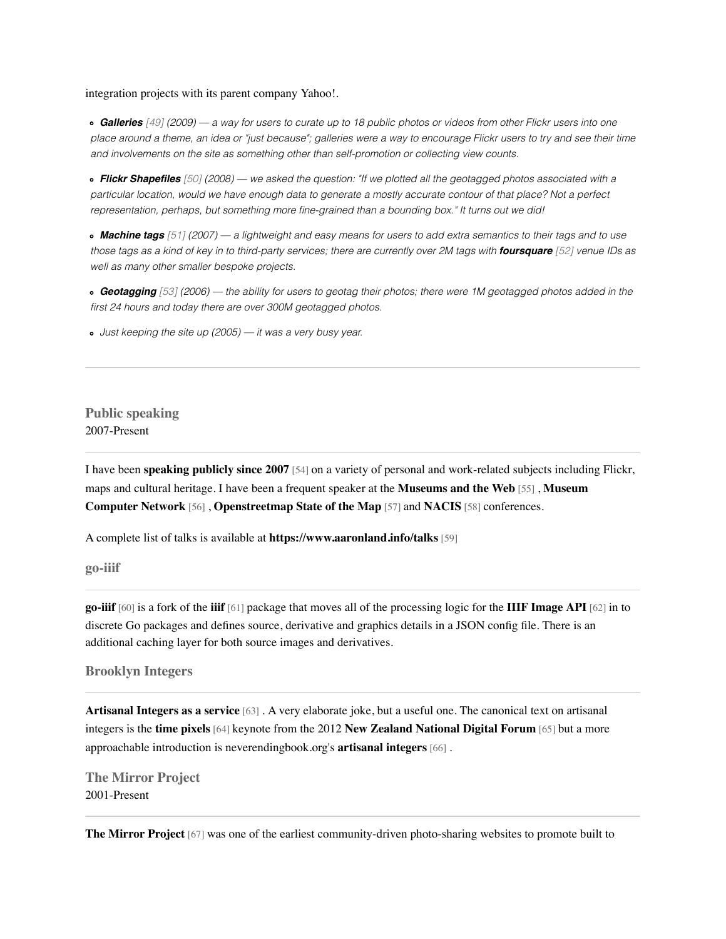### integration projects with its parent company Yahoo!.

*[Galleries](http://blog.flickr.net/en/2009/09/14/galleries-unleash-your-inner-curator/) [49] (2009) — a way for users to curate up to 18 public photos or videos from other Flickr users into one place around a theme, an idea or "just because"; galleries were a way to encourage Flickr users to try and see their time and involvements on the site as something other than self-promotion or collecting view counts.*

*[Flickr Shapefiles](http://code.flickr.com/blog/2008/10/30/the-shape-of-alpha/) [50] (2008) — we asked the question: "If we plotted all the geotagged photos associated with a particular location, would we have enough data to generate a mostly accurate contour of that place? Not a perfect representation, perhaps, but something more fine-grained than a bounding box." It turns out we did!*

*[Machine tags](http://www.flickr.com/groups/api/discuss/72157594497877875/) [51] (2007) — a lightweight and easy means for users to add extra semantics to their tags and to use those tags as a kind of key in to third-party services; there are currently over 2M tags with [foursquare](http://foursquare.com/) [52] venue IDs as well as many other smaller bespoke projects.*

*[Geotagging](http://www.flickr.com/map) [53] (2006) — the ability for users to geotag their photos; there were 1M geotagged photos added in the first 24 hours and today there are over 300M geotagged photos.*

*Just keeping the site up (2005) — it was a very busy year.*

## **Public speaking** 2007-Present

I have been **[speaking publicly since 2007](http://www.aaronland.info/talks/)** [54] on a variety of personal and work-related subjects including Flickr, [maps and cultural heritage. I have been a frequent speaker at the](https://mcn.edu/) **[Museums and the Web](http://www.museumsandtheweb.com/)** [55] , **Museum Computer Network** [56] , **[Openstreetmap State of the Map](http://stateofthemap.org/)** [57] and **[NACIS](http://nacis.org/)** [58] conferences.

A complete list of talks is available at **[https://www.aaronland.info/talks](https://www.aaronland.info/talks/)** [59]

**go-iiif**

**[go-iiif](https://thisisaaronland.github.io/go-iiif/)** [60] is a fork of the **[iiif](https://github.com/greut/iiif)** [61] package that moves all of the processing logic for the **[IIIF Image API](http://iiif.io/api/image/)** [62] in to discrete Go packages and defines source, derivative and graphics details in a JSON config file. There is an additional caching layer for both source images and derivatives.

**Brooklyn Integers**

**[Artisanal Integers as a service](http://brooklynintegers.com/)** [63] . A very elaborate joke, but a useful one. The canonical text on artisanal integers is the **[time pixels](https://www.aaronland.info/weblog/2012/12/01/coffee-and-wifi/#timepixels)** [64] keynote from the 2012 **[New Zealand National Digital Forum](http://www.ndf.org.nz/)** [65] but a more approachable introduction is neverendingbook.org's **[artisanal integers](http://www.neverendingbooks.org/artisanal-integers)** [66] .

**The Mirror Project** 2001-Present

**[The Mirror Project](http://www.mirrorproject.com/)** [67] was one of the earliest community-driven photo-sharing websites to promote built to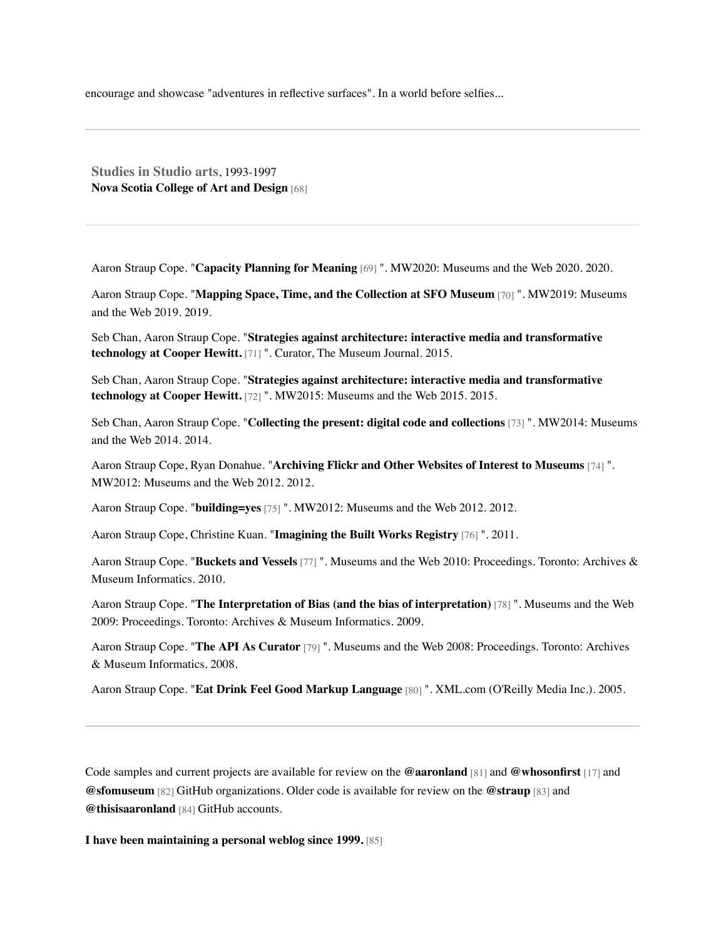encourage and showcase "adventures in reflective surfaces". In a world before selfies...

**Studies in Studio arts**, 1993-1997 **[Nova Scotia College of Art and Design](http://www.nscad.ca/)** [68]

Aaron Straup Cope. "**[Capacity Planning for Meaning](https://mw20.museweb.net/paper/capacity-planning-for-meaning/)** [69] ". MW2020: Museums and the Web 2020. 2020.

Aaron Straup Cope. "**[Mapping Space, Time, and the Collection at SFO Museum](https://mw19.mwconf.org/paper/mapping-space-time-and-the-collection-at-sfo-museum/)** [70] ". MW2019: Museums and the Web 2019. 2019.

Seb Chan, Aaron Straup Cope. "**[Strategies against architecture: interactive media and transformative](http://onlinelibrary.wiley.com/doi/10.1111/cura.12118/abstract) technology at Cooper Hewitt.** [71] ". Curator, The Museum Journal. 2015.

Seb Chan, Aaron Straup Cope. "**[Strategies against architecture: interactive media and transformative](http://mw2015.museumsandtheweb.com/paper/strategies-against-architecture-interactive-media-and-transformative-technology-at-cooper-hewitt/) technology at Cooper Hewitt.** [72] ". MW2015: Museums and the Web 2015. 2015.

Seb Chan, Aaron Straup Cope. "**[Collecting the present: digital code and collections](http://mw2014.museumsandtheweb.com/paper/collecting-the-present-digital-code-and-collections/)** [73] ". MW2014: Museums and the Web 2014. 2014.

Aaron Straup Cope, Ryan Donahue. "**[Archiving Flickr and Other Websites of Interest to Museums](https://www.museumsandtheweb.com/mw2012/papers/archiving_flickr_and_other_websites_of_interes.html)** [74] ". MW2012: Museums and the Web 2012. 2012.

Aaron Straup Cope. "**[building=yes](https://www.museumsandtheweb.com/mw2012/programs/buildingyes.html)** [75] ". MW2012: Museums and the Web 2012. 2012.

Aaron Straup Cope, Christine Kuan. "**[Imagining the Built Works Registry](https://builtworksregistry.wordpress.com/imagining-the-built-works-registry-by-aaron-straup-cope-christine-kuan/)** [76] ". 2011.

Aaron Straup Cope. "**[Buckets and Vessels](http://www.museumsandtheweb.com/mw2010/papers/cope/cope.html)** [77] ". Museums and the Web 2010: Proceedings. Toronto: Archives & Museum Informatics. 2010.

Aaron Straup Cope. "**[The Interpretation of Bias \(and the bias of interpretation\)](http://www.museumsandtheweb.com/mw2009/abstracts/prg_335001944.html)** [78] ". Museums and the Web 2009: Proceedings. Toronto: Archives & Museum Informatics. 2009.

Aaron Straup Cope. "**[The API As Curator](http://www.museumsandtheweb.com/mw2008/papers/straup_cope/straup_cope.html)** [79] ". Museums and the Web 2008: Proceedings. Toronto: Archives & Museum Informatics. 2008.

Aaron Straup Cope. "**[Eat Drink Feel Good Markup Language](http://www.xml.com/pub/a/2005/02/16/edfg.html)** [80] ". XML.com (O'Reilly Media Inc.). 2005.

Code samples and current projects are available for review on the **[@aaronland](https://github.com/aaronland)** [81] and **[@whosonfirst](https://github.com/whosonfirst)** [17] and **[@sfomuseum](https://github.com/sfomuseum)** [82] GitHub organizations. Older code is available for review on the **[@straup](https://www.github.com/straup)** [83] and **[@thisisaaronland](https://www.github.com/thisisaaronland/)** [84] GitHub accounts.

**[I have been maintaining a personal weblog since 1999.](http://www.aaronland.info/weblog/)** [85]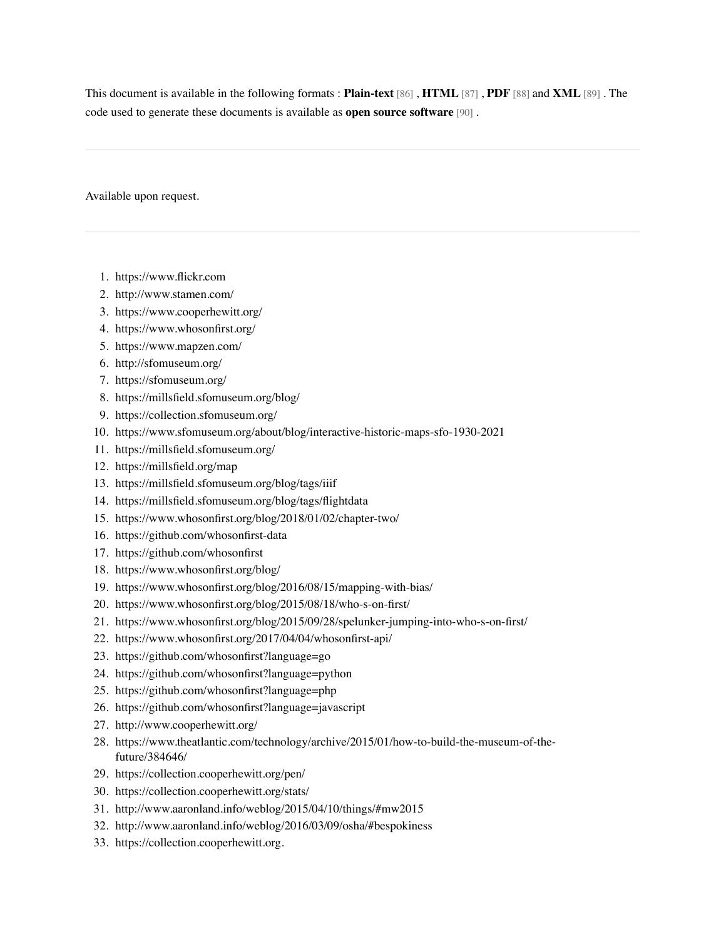This document is available in the following formats : **[Plain-text](http://www.aaronstraupcope.com/resume/en/aaronstraupcope-resume-en.txt)** [86] , **[HTML](http://www.aaronstraupcope.com/resume/en/aaronstraupcope-resume-en.html)** [87] , **[PDF](http://www.aaronstraupcope.com/resume/en/aaronstraupcope-resume-en.pdf)** [88] and **[XML](http://www.aaronstraupcope.com/resume/en/aaronstraupcope-resume-en.xml)** [89] . The code used to generate these documents is available as **[open source software](https://github.com/straup/xmlresume-tools/)** [90] .

Available upon request.

- 1. [https://www.flickr.com](https://www.flickr.com/)
- 2. <http://www.stamen.com/>
- 3. <https://www.cooperhewitt.org/>
- 4. <https://www.whosonfirst.org/>
- 5. <https://www.mapzen.com/>
- 6. <http://sfomuseum.org/>
- 7. <https://sfomuseum.org/>
- 8. <https://millsfield.sfomuseum.org/blog/>
- 9. <https://collection.sfomuseum.org/>
- 10. <https://www.sfomuseum.org/about/blog/interactive-historic-maps-sfo-1930-2021>
- 11. <https://millsfield.sfomuseum.org/>
- 12. <https://millsfield.org/map>
- 13. <https://millsfield.sfomuseum.org/blog/tags/iiif>
- 14. <https://millsfield.sfomuseum.org/blog/tags/flightdata>
- 15. <https://www.whosonfirst.org/blog/2018/01/02/chapter-two/>
- 16. <https://github.com/whosonfirst-data>
- 17. <https://github.com/whosonfirst>
- 18. <https://www.whosonfirst.org/blog/>
- 19. <https://www.whosonfirst.org/blog/2016/08/15/mapping-with-bias/>
- 20. <https://www.whosonfirst.org/blog/2015/08/18/who-s-on-first/>
- 21. <https://www.whosonfirst.org/blog/2015/09/28/spelunker-jumping-into-who-s-on-first/>
- 22. <https://www.whosonfirst.org/2017/04/04/whosonfirst-api/>
- 23. <https://github.com/whosonfirst?language=go>
- 24. <https://github.com/whosonfirst?language=python>
- 25. <https://github.com/whosonfirst?language=php>
- 26. <https://github.com/whosonfirst?language=javascript>
- 27. <http://www.cooperhewitt.org/>
- 28. [https://www.theatlantic.com/technology/archive/2015/01/how-to-build-the-museum-of-the](https://www.theatlantic.com/technology/archive/2015/01/how-to-build-the-museum-of-the-future/384646/)future/384646/
- 29. <https://collection.cooperhewitt.org/pen/>
- 30. <https://collection.cooperhewitt.org/stats/>
- 31. <http://www.aaronland.info/weblog/2015/04/10/things/#mw2015>
- 32. <http://www.aaronland.info/weblog/2016/03/09/osha/#bespokiness>
- 33. [https://collection.cooperhewitt.org.](https://collection.cooperhewitt.org./)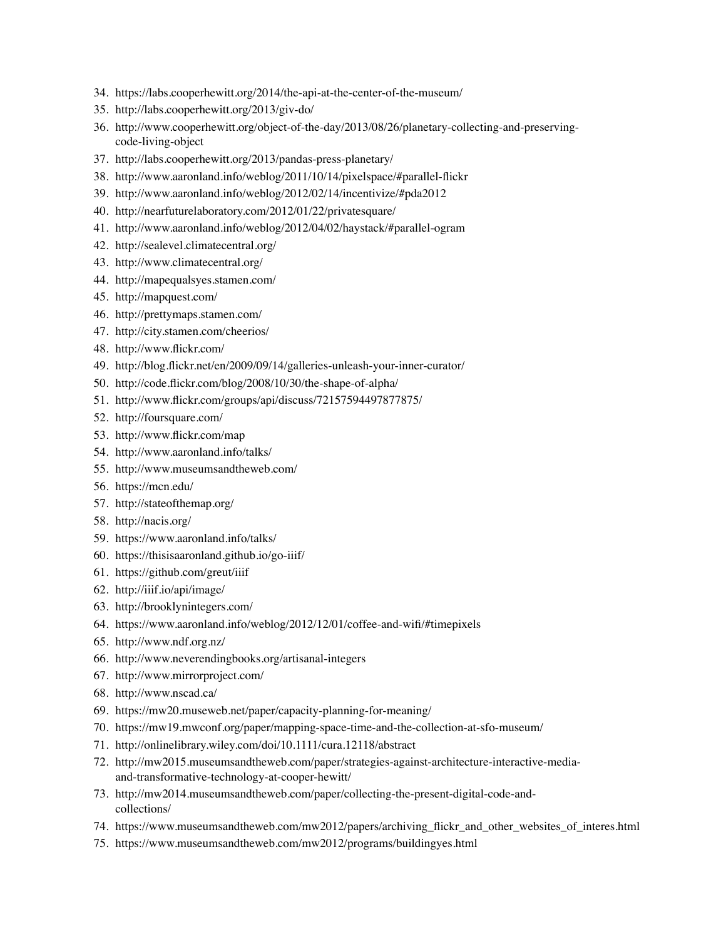- 34. <https://labs.cooperhewitt.org/2014/the-api-at-the-center-of-the-museum/>
- 35. <http://labs.cooperhewitt.org/2013/giv-do/>
- 36. [http://www.cooperhewitt.org/object-of-the-day/2013/08/26/planetary-collecting-and-preserving](http://www.cooperhewitt.org/object-of-the-day/2013/08/26/planetary-collecting-and-preserving-code-living-object)code-living-object
- 37. <http://labs.cooperhewitt.org/2013/pandas-press-planetary/>
- 38. <http://www.aaronland.info/weblog/2011/10/14/pixelspace/#parallel-flickr>
- 39. <http://www.aaronland.info/weblog/2012/02/14/incentivize/#pda2012>
- 40. <http://nearfuturelaboratory.com/2012/01/22/privatesquare/>
- 41. <http://www.aaronland.info/weblog/2012/04/02/haystack/#parallel-ogram>
- 42. <http://sealevel.climatecentral.org/>
- 43. <http://www.climatecentral.org/>
- 44. <http://mapequalsyes.stamen.com/>
- 45. <http://mapquest.com/>
- 46. <http://prettymaps.stamen.com/>
- 47. <http://city.stamen.com/cheerios/>
- 48. <http://www.flickr.com/>
- 49. <http://blog.flickr.net/en/2009/09/14/galleries-unleash-your-inner-curator/>
- 50. <http://code.flickr.com/blog/2008/10/30/the-shape-of-alpha/>
- 51. <http://www.flickr.com/groups/api/discuss/72157594497877875/>
- 52. <http://foursquare.com/>
- 53. <http://www.flickr.com/map>
- 54. <http://www.aaronland.info/talks/>
- 55. <http://www.museumsandtheweb.com/>
- 56. <https://mcn.edu/>
- 57. <http://stateofthemap.org/>
- 58. <http://nacis.org/>
- 59. <https://www.aaronland.info/talks/>
- 60. <https://thisisaaronland.github.io/go-iiif/>
- 61. <https://github.com/greut/iiif>
- 62. <http://iiif.io/api/image/>
- 63. <http://brooklynintegers.com/>
- 64. <https://www.aaronland.info/weblog/2012/12/01/coffee-and-wifi/#timepixels>
- 65. <http://www.ndf.org.nz/>
- 66. <http://www.neverendingbooks.org/artisanal-integers>
- 67. <http://www.mirrorproject.com/>
- 68. <http://www.nscad.ca/>
- 69. <https://mw20.museweb.net/paper/capacity-planning-for-meaning/>
- 70. <https://mw19.mwconf.org/paper/mapping-space-time-and-the-collection-at-sfo-museum/>
- 71. <http://onlinelibrary.wiley.com/doi/10.1111/cura.12118/abstract>
- 72. [http://mw2015.museumsandtheweb.com/paper/strategies-against-architecture-interactive-media](http://mw2015.museumsandtheweb.com/paper/strategies-against-architecture-interactive-media-and-transformative-technology-at-cooper-hewitt/)and-transformative-technology-at-cooper-hewitt/
- 73. [http://mw2014.museumsandtheweb.com/paper/collecting-the-present-digital-code-and](http://mw2014.museumsandtheweb.com/paper/collecting-the-present-digital-code-and-collections/)collections/
- 74. [https://www.museumsandtheweb.com/mw2012/papers/archiving\\_flickr\\_and\\_other\\_websites\\_of\\_interes.html](https://www.museumsandtheweb.com/mw2012/papers/archiving_flickr_and_other_websites_of_interes.html)
- 75. <https://www.museumsandtheweb.com/mw2012/programs/buildingyes.html>